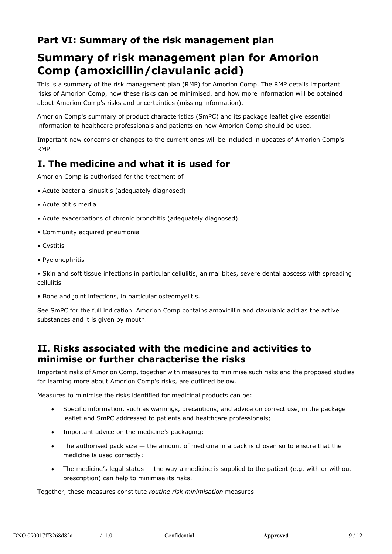### **Part VI: Summary of the risk management plan**

# **Summary of risk management plan for Amorion Comp (amoxicillin/clavulanic acid)**

This is a summary of the risk management plan (RMP) for Amorion Comp. The RMP details important risks of Amorion Comp, how these risks can be minimised, and how more information will be obtained about Amorion Comp's risks and uncertainties (missing information).

Amorion Comp's summary of product characteristics (SmPC) and its package leaflet give essential information to healthcare professionals and patients on how Amorion Comp should be used.

Important new concerns or changes to the current ones will be included in updates of Amorion Comp's RMP.

## **I. The medicine and what it is used for**

Amorion Comp is authorised for the treatment of

- Acute bacterial sinusitis (adequately diagnosed)
- Acute otitis media
- Acute exacerbations of chronic bronchitis (adequately diagnosed)
- Community acquired pneumonia
- Cystitis
- Pyelonephritis

• Skin and soft tissue infections in particular cellulitis, animal bites, severe dental abscess with spreading cellulitis

• Bone and joint infections, in particular osteomyelitis.

See SmPC for the full indication. Amorion Comp contains amoxicillin and clavulanic acid as the active substances and it is given by mouth.

### **II. Risks associated with the medicine and activities to minimise or further characterise the risks**

Important risks of Amorion Comp, together with measures to minimise such risks and the proposed studies for learning more about Amorion Comp's risks, are outlined below.

Measures to minimise the risks identified for medicinal products can be:

- Specific information, such as warnings, precautions, and advice on correct use, in the package leaflet and SmPC addressed to patients and healthcare professionals;
- Important advice on the medicine's packaging;
- The authorised pack size  $-$  the amount of medicine in a pack is chosen so to ensure that the medicine is used correctly;
- The medicine's legal status the way a medicine is supplied to the patient (e.g. with or without prescription) can help to minimise its risks.

Together, these measures constitute *routine risk minimisation* measures.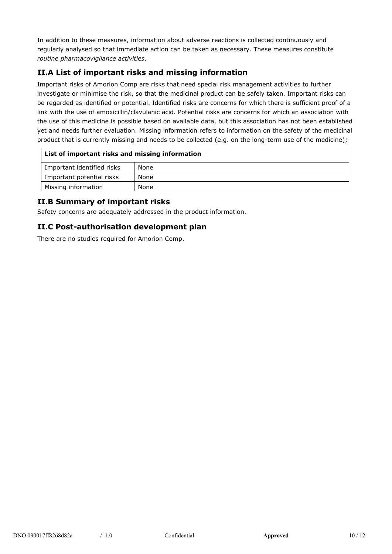In addition to these measures, information about adverse reactions is collected continuously and regularly analysed so that immediate action can be taken as necessary. These measures constitute *routine pharmacovigilance activities*.

#### **II.A List of important risks and missing information**

Important risks of Amorion Comp are risks that need special risk management activities to further investigate or minimise the risk, so that the medicinal product can be safely taken. Important risks can be regarded as identified or potential. Identified risks are concerns for which there is sufficient proof of a link with the use of amoxicillin/clavulanic acid. Potential risks are concerns for which an association with the use of this medicine is possible based on available data, but this association has not been established yet and needs further evaluation. Missing information refers to information on the safety of the medicinal product that is currently missing and needs to be collected (e.g. on the long-term use of the medicine);

| List of important risks and missing information |      |  |
|-------------------------------------------------|------|--|
| Important identified risks                      | None |  |
| Important potential risks                       | None |  |
| Missing information                             | None |  |

#### **II.B Summary of important risks**

Safety concerns are adequately addressed in the product information.

#### **II.C Post-authorisation development plan**

There are no studies required for Amorion Comp.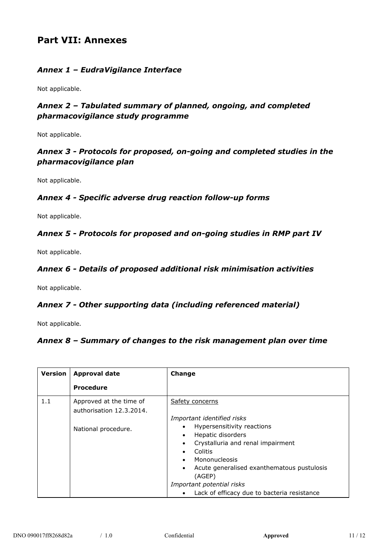### **Part VII: Annexes**

#### *Annex 1 – EudraVigilance Interface*

Not applicable.

#### *Annex 2 – Tabulated summary of planned, ongoing, and completed pharmacovigilance study programme*

Not applicable.

#### *Annex 3 - Protocols for proposed, on-going and completed studies in the pharmacovigilance plan*

Not applicable.

#### *Annex 4 - Specific adverse drug reaction follow-up forms*

Not applicable.

#### *Annex 5 - Protocols for proposed and on-going studies in RMP part IV*

Not applicable.

#### *Annex 6 - Details of proposed additional risk minimisation activities*

Not applicable.

#### *Annex 7 - Other supporting data (including referenced material)*

Not applicable*.*

#### *Annex 8 – Summary of changes to the risk management plan over time*

| <b>Version</b> | <b>Approval date</b>                                | Change                                                                                                                                                                                                                                                                                               |
|----------------|-----------------------------------------------------|------------------------------------------------------------------------------------------------------------------------------------------------------------------------------------------------------------------------------------------------------------------------------------------------------|
|                | <b>Procedure</b>                                    |                                                                                                                                                                                                                                                                                                      |
| 1.1            | Approved at the time of<br>authorisation 12.3.2014. | Safety concerns                                                                                                                                                                                                                                                                                      |
|                | National procedure.                                 | Important identified risks<br>Hypersensitivity reactions<br>$\bullet$<br>Hepatic disorders<br>$\bullet$<br>Crystalluria and renal impairment<br>$\bullet$<br>Colitis<br>Mononucleosis<br>$\bullet$<br>Acute generalised exanthematous pustulosis<br>$\bullet$<br>(AGEP)<br>Important potential risks |
|                |                                                     | Lack of efficacy due to bacteria resistance<br>$\bullet$                                                                                                                                                                                                                                             |